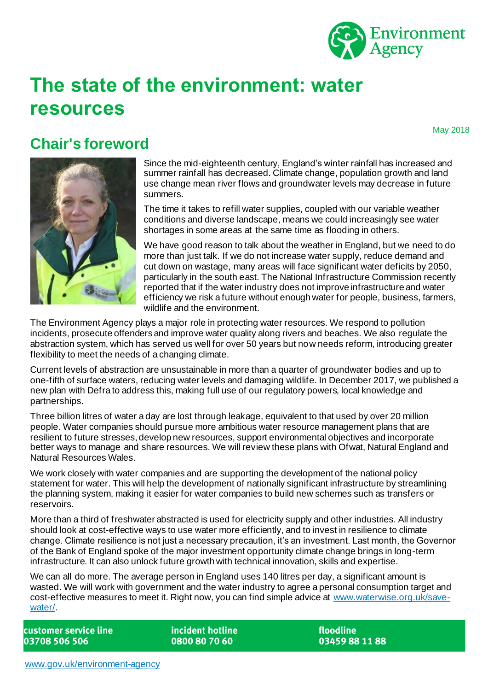

# **The state of the environment: water resources**

May 2018

### **Chair's foreword**



Since the mid-eighteenth century, England's winter rainfall has increased and summer rainfall has decreased. Climate change, population growth and land use change mean river flows and groundwater levels may decrease in future summers.

The time it takes to refill water supplies, coupled with our variable weather conditions and diverse landscape, means we could increasingly see water shortages in some areas at the same time as flooding in others.

We have good reason to talk about the weather in England, but we need to do more than just talk. If we do not increase water supply, reduce demand and cut down on wastage, many areas will face significant water deficits by 2050, particularly in the south east. The National Infrastructure Commission recently reported that if the water industry does not improve infrastructure and water efficiency we risk a future without enough water for people, business, farmers, wildlife and the environment.

The Environment Agency plays a major role in protecting water resources. We respond to pollution incidents, prosecute offenders and improve water quality along rivers and beaches. We also regulate the abstraction system, which has served us well for over 50 years but now needs reform, introducing greater flexibility to meet the needs of a changing climate.

Current levels of abstraction are unsustainable in more than a quarter of groundwater bodies and up to one-fifth of surface waters, reducing water levels and damaging wildlife. In December 2017, we published a new plan with Defra to address this, making full use of our regulatory powers, local knowledge and partnerships.

Three billion litres of water a day are lost through leakage, equivalent to that used by over 20 million people. Water companies should pursue more ambitious water resource management plans that are resilient to future stresses, develop new resources, support environmental objectives and incorporate better ways to manage and share resources. We will review these plans with Ofwat, Natural England and Natural Resources Wales.

We work closely with water companies and are supporting the development of the national policy statement for water. This will help the development of nationally significant infrastructure by streamlining the planning system, making it easier for water companies to build new schemes such as transfers or reservoirs.

More than a third of freshwater abstracted is used for electricity supply and other industries. All industry should look at cost-effective ways to use water more efficiently, and to invest in resilience to climate change. Climate resilience is not just a necessary precaution, it's an investment. Last month, the Governor of the Bank of England spoke of the major investment opportunity climate change brings in long-term infrastructure. It can also unlock future growth with technical innovation, skills and expertise.

We can all do more. The average person in England uses 140 litres per day, a significant amount is wasted. We will work with government and the water industry to agree a personal consumption target and cost-effective measures to meet it. Right now, you can find simple advice at [www.waterwise.org.uk/save](http://www.waterwise.org.uk/save-water/)[water/.](http://www.waterwise.org.uk/save-water/)

customer service line 03708 506 506

incident hotline 0800 80 70 60

floodline 03459881188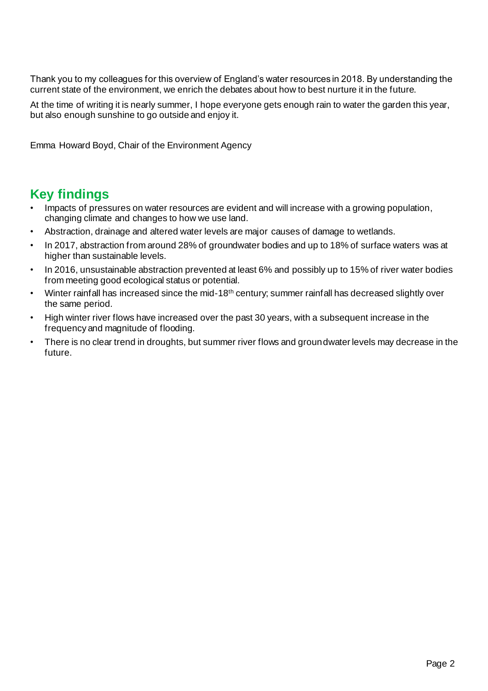Thank you to my colleagues for this overview of England's water resources in 2018. By understanding the current state of the environment, we enrich the debates about how to best nurture it in the future.

At the time of writing it is nearly summer, I hope everyone gets enough rain to water the garden this year, but also enough sunshine to go outside and enjoy it.

Emma Howard Boyd, Chair of the Environment Agency

### **Key findings**

- Impacts of pressures on water resources are evident and will increase with a growing population, changing climate and changes to how we use land.
- Abstraction, drainage and altered water levels are major causes of damage to wetlands.
- In 2017, abstraction from around 28% of groundwater bodies and up to 18% of surface waters was at higher than sustainable levels.
- In 2016, unsustainable abstraction prevented at least 6% and possibly up to 15% of river water bodies from meeting good ecological status or potential.
- Winter rainfall has increased since the mid-18th century; summer rainfall has decreased slightly over the same period.
- High winter river flows have increased over the past 30 years, with a subsequent increase in the frequency and magnitude of flooding.
- There is no clear trend in droughts, but summer river flows and groundwater levels may decrease in the future.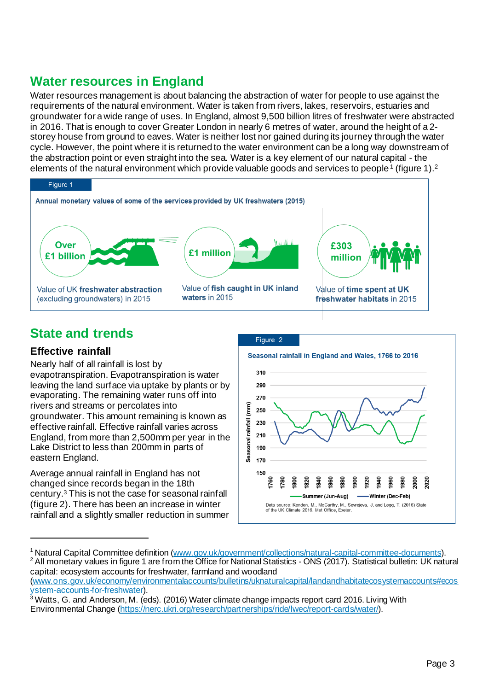# **Water resources in England**

Water resources management is about balancing the abstraction of water for people to use against the requirements of the natural environment. Water is taken from rivers, lakes, reservoirs, estuaries and groundwater for a wide range of uses. In England, almost 9,500 billion litres of freshwater were abstracted in 2016. That is enough to cover Greater London in nearly 6 metres of water, around the height of a 2 storey house from ground to eaves. Water is neither lost nor gained during its journey through the water cycle. However, the point where it is returned to the water environment can be a long way downstream of the abstraction point or even straight into the sea. Water is a key element of our natural capital - the elements of the natural environment which provide valuable goods and services to people<sup>1</sup> (figure 1).<sup>2</sup>



# **State and trends**

#### **Effective rainfall**

Nearly half of all rainfall is lost by evapotranspiration. Evapotranspiration is water leaving the land surface via uptake by plants or by evaporating. The remaining water runs off into rivers and streams or percolates into groundwater. This amount remaining is known as effective rainfall. Effective rainfall varies across England, from more than 2,500mm per year in the Lake District to less than 200mm in parts of eastern England.

Average annual rainfall in England has not changed since records began in the 18th century. <sup>3</sup> This is not the case for seasonal rainfall (figure 2). There has been an increase in winter rainfall and a slightly smaller reduction in summer



<sup>1</sup> Natural Capital Committee definition [\(www.gov.uk/government/collections/natural-capital-committee-documents](http://www.gov.uk/government/collections/natural-capital-committee-documents)). <sup>2</sup> All monetary values in figure 1 are from the Office for National Statistics - ONS (2017). Statistical bulletin: UK natural capital: ecosystem accounts for freshwater, farmland and woodland [\(www.ons.gov.uk/economy/environmentalaccounts/bulletins/uknaturalcapital/landandhabitatecosystemaccounts#ecos](http://www.ons.gov.uk/economy/environmentalaccounts/bulletins/uknaturalcapital/landandhabitatecosystemaccounts#ecosystem-accounts-for-freshwater)

[ystem-accounts-for-freshwater](http://www.ons.gov.uk/economy/environmentalaccounts/bulletins/uknaturalcapital/landandhabitatecosystemaccounts#ecosystem-accounts-for-freshwater)). <sup>3</sup> Watts, G. and Anderson, M. (eds). (2016) Water climate change impacts report card 2016. Living With

Environmental Change [\(https://nerc.ukri.org/research/partnerships/ride/lwec/report-cards/water/](https://nerc.ukri.org/research/partnerships/ride/lwec/report-cards/water/)).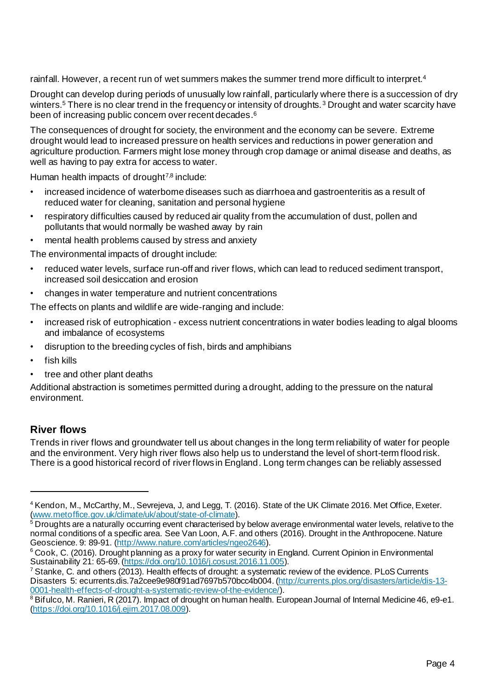rainfall. However, a recent run of wet summers makes the summer trend more difficult to interpret. 4

Drought can develop during periods of unusually low rainfall, particularly where there is a succession of dry winters. <sup>5</sup> There is no clear trend in the frequency or intensity of droughts. <sup>3</sup> Drought and water scarcity have been of increasing public concern over recent decades. 6

The consequences of drought for society, the environment and the economy can be severe. Extreme drought would lead to increased pressure on health services and reductions in power generation and agriculture production. Farmers might lose money through crop damage or animal disease and deaths, as well as having to pay extra for access to water.

Human health impacts of drought<sup>7,8</sup> include:

- increased incidence of waterborne diseases such as diarrhoea and gastroenteritis as a result of reduced water for cleaning, sanitation and personal hygiene
- respiratory difficulties caused by reduced air quality from the accumulation of dust, pollen and pollutants that would normally be washed away by rain
- mental health problems caused by stress and anxiety

The environmental impacts of drought include:

- reduced water levels, surface run-off and river flows, which can lead to reduced sediment transport, increased soil desiccation and erosion
- changes in water temperature and nutrient concentrations

The effects on plants and wildlife are wide-ranging and include:

- increased risk of eutrophication excess nutrient concentrations in water bodies leading to algal blooms and imbalance of ecosystems
- disruption to the breeding cycles of fish, birds and amphibians
- fish kills
- tree and other plant deaths

Additional abstraction is sometimes permitted during a drought, adding to the pressure on the natural environment.

#### **River flows**

Trends in river flows and groundwater tell us about changes in the long term reliability of water for people and the environment. Very high river flows also help us to understand the level of short-term flood risk. There is a good historical record of river flows in England. Long term changes can be reliably assessed

<sup>4</sup> Kendon, M., McCarthy, M., Sevrejeva, J, and Legg, T. (2016). State of the UK Climate 2016. Met Office, Exeter. [\(www.metoffice.gov.uk/climate/uk/about/state-of-climate](http://www.metoffice.gov.uk/climate/uk/about/state-of-climate)).

<sup>&</sup>lt;sup>5</sup> Droughts are a naturally occurring event characterised by below average environmental water levels, relative to the normal conditions of a specific area. See Van Loon, A.F. and others (2016). Drought in the Anthropocene. Nature Geoscience. 9: 89-91. [\(http://www.nature.com/articles/ngeo2646](http://www.nature.com/articles/ngeo2646)).

<sup>&</sup>lt;sup>6</sup> Cook, C. (2016). Drought planning as a proxy for water security in England. Current Opinion in Environmental Sustainability 21: 65-69. [\(https://doi.org/10.1016/j.cosust.2016.11.005\)](https://doi.org/10.1016/j.cosust.2016.11.005).

 $7$  Stanke, C. and others (2013). Health effects of drought: a systematic review of the evidence. PLoS Currents Disasters 5: ecurrents.dis.7a2cee9e980f91ad7697b570bcc4b004. [\(http://currents.plos.org/disasters/article/dis-13-](http://currents.plos.org/disasters/article/dis-13-0001-health-effects-of-drought-a-systematic-review-of-the-evidence/) [0001-health-effects-of-drought-a-systematic-review-of-the-evidence/](http://currents.plos.org/disasters/article/dis-13-0001-health-effects-of-drought-a-systematic-review-of-the-evidence/)).

<sup>&</sup>lt;sup>8</sup> Bifulco, M. Ranieri, R (2017). Impact of drought on human health. European Journal of Internal Medicine 46, e9-e1. [\(https://doi.org/10.1016/j.ejim.2017.08.009](https://doi.org/10.1016/j.ejim.2017.08.009)).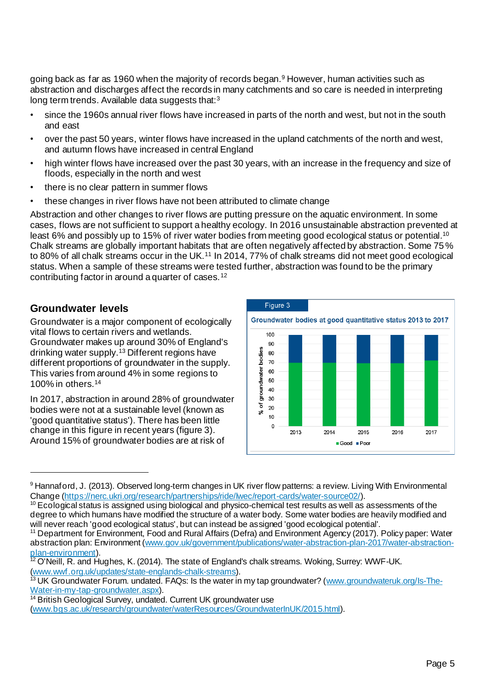going back as far as 1960 when the majority of records began.<sup>9</sup> However, human activities such as abstraction and discharges affect the records in many catchments and so care is needed in interpreting long term trends. Available data suggests that:<sup>3</sup>

- since the 1960s annual river flows have increased in parts of the north and west, but not in the south and east
- over the past 50 years, winter flows have increased in the upland catchments of the north and west, and autumn flows have increased in central England
- high winter flows have increased over the past 30 years, with an increase in the frequency and size of floods, especially in the north and west
- there is no clear pattern in summer flows
- these changes in river flows have not been attributed to climate change

Abstraction and other changes to river flows are putting pressure on the aquatic environment. In some cases, flows are not sufficient to support a healthy ecology. In 2016 unsustainable abstraction prevented at least 6% and possibly up to 15% of river water bodies from meeting good ecological status or potential.10 Chalk streams are globally important habitats that are often negatively affected by abstraction. Some 75% to 80% of all chalk streams occur in the UK.<sup>11</sup> In 2014, 77% of chalk streams did not meet good ecological status. When a sample of these streams were tested further, abstraction was found to be the primary contributing factor in around a quarter of cases.<sup>12</sup>

#### **Groundwater levels**

Groundwater is a major component of ecologically vital flows to certain rivers and wetlands. Groundwater makes up around 30% of England's drinking water supply.<sup>13</sup> Different regions have different proportions of groundwater in the supply. This varies from around 4% in some regions to 100% in others.<sup>14</sup>

In 2017, abstraction in around 28% of groundwater bodies were not at a sustainable level (known as 'good quantitative status'). There has been little change in this figure in recent years (figure 3). Around 15% of groundwater bodies are at risk of



<sup>9</sup> Hannaford, J. (2013). Observed long-term changes in UK river flow patterns: a review. Living With Environmental Change [\(https://nerc.ukri.org/research/partnerships/ride/lwec/report-cards/water-source02/](https://nerc.ukri.org/research/partnerships/ride/lwec/report-cards/water-source02/)).

 $10$  Ecological status is assigned using biological and physico-chemical test results as well as assessments of the degree to which humans have modified the structure of a water body. Some water bodies are heavily modified and will never reach 'good ecological status', but can instead be assigned 'good ecological potential'.

<sup>&</sup>lt;sup>11</sup> Department for Environment, Food and Rural Affairs (Defra) and Environment Agency (2017). Policy paper: Water abstraction plan: Environment [\(www.gov.uk/government/publications/water-abstraction-plan-2017/water-abstraction](https://www.gov.uk/government/publications/water-abstraction-plan-2017/water-abstraction-plan-environment)[plan-environment](https://www.gov.uk/government/publications/water-abstraction-plan-2017/water-abstraction-plan-environment)).

<sup>&</sup>lt;sup>12</sup> O'Neill, R. and Hughes, K. (2014). The state of England's chalk streams. Woking, Surrey: WWF-UK. [\(www.wwf.org.uk/updates/state-englands-chalk-streams](file:///C:/Users/hsalter/AppData/Local/Microsoft/Windows/Temporary%20Internet%20Files/Content.Outlook/HIBCV5O4/www.wwf.org.uk/updates/state-englands-chalk-streams)).

<sup>&</sup>lt;sup>13</sup> UK Groundwater Forum. undated. FAQs: Is the water in my tap groundwater? [\(www.groundwateruk.org/Is-The-](http://www.groundwateruk.org/Is-The-Water-in-my-tap-groundwater.aspx)[Water-in-my-tap-groundwater.aspx\)](http://www.groundwateruk.org/Is-The-Water-in-my-tap-groundwater.aspx).

<sup>&</sup>lt;sup>14</sup> British Geological Survey, undated. Current UK groundwater use

[<sup>\(</sup>www.bgs.ac.uk/research/groundwater/waterResources/GroundwaterInUK/2015.html](http://www.bgs.ac.uk/research/groundwater/waterResources/GroundwaterInUK/2015.html)).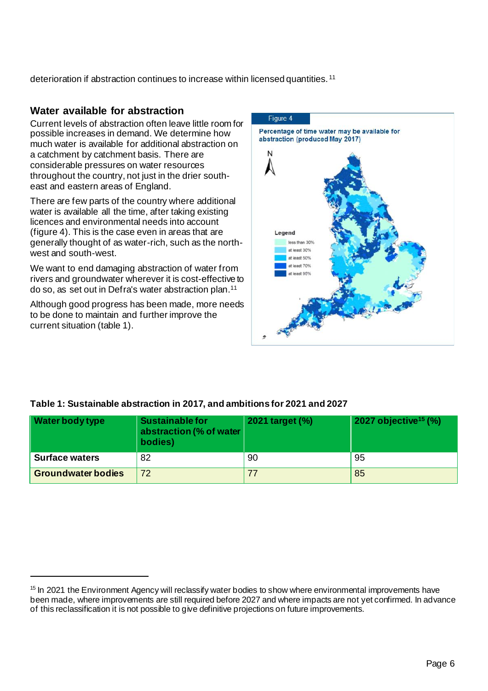deterioration if abstraction continues to increase within licensed quantities. <sup>11</sup>

#### **Water available for abstraction**

Current levels of abstraction often leave little room for possible increases in demand. We determine how much water is available for additional abstraction on a catchment by catchment basis. There are considerable pressures on water resources throughout the country, not just in the drier southeast and eastern areas of England.

There are few parts of the country where additional water is available all the time, after taking existing licences and environmental needs into account (figure 4). This is the case even in areas that are generally thought of as water-rich, such as the northwest and south-west.

We want to end damaging abstraction of water from rivers and groundwater wherever it is cost-effective to do so, as set out in Defra's water abstraction plan. 11

Although good progress has been made, more needs to be done to maintain and further improve the current situation (table 1).



#### **Table 1: Sustainable abstraction in 2017, and ambitions for 2021 and 2027**

| <b>Water body type</b>    | Sustainable for<br>abstraction (% of water<br>bodies) | 2021 target (%) | $2027$ objective <sup>15</sup> (%) |
|---------------------------|-------------------------------------------------------|-----------------|------------------------------------|
| <b>Surface waters</b>     | 82                                                    | 90              | 95                                 |
| <b>Groundwater bodies</b> | 72                                                    |                 | 85                                 |

<sup>&</sup>lt;sup>15</sup> In 2021 the Environment Agency will reclassify water bodies to show where environmental improvements have been made, where improvements are still required before 2027 and where impacts are not yet confirmed. In advance of this reclassification it is not possible to give definitive projections on future improvements.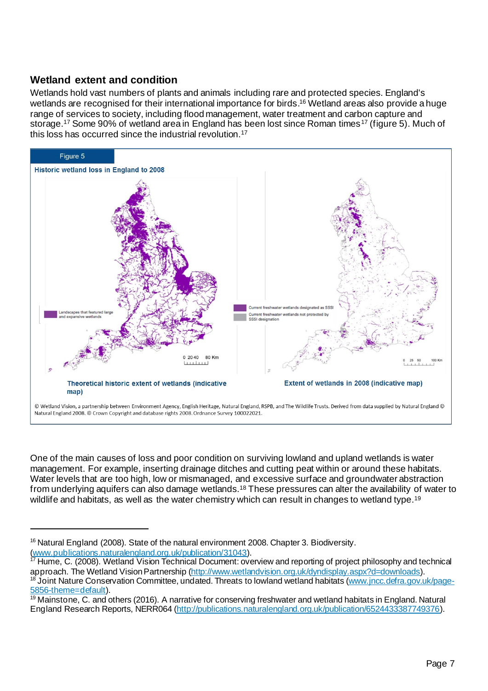#### **Wetland extent and condition**

Wetlands hold vast numbers of plants and animals including rare and protected species. England's wetlands are recognised for their international importance for birds. <sup>16</sup> Wetland areas also provide a huge range of services to society, including flood management, water treatment and carbon capture and storage.<sup>17</sup> Some 90% of wetland area in England has been lost since Roman times<sup>17</sup> (figure 5). Much of this loss has occurred since the industrial revolution.<sup>17</sup>



One of the main causes of loss and poor condition on surviving lowland and upland wetlands is water management. For example, inserting drainage ditches and cutting peat within or around these habitats. Water levels that are too high, low or mismanaged, and excessive surface and groundwater abstraction from underlying aquifers can also damage wetlands.<sup>18</sup> These pressures can alter the availability of water to wildlife and habitats, as well as the water chemistry which can result in changes to wetland type.<sup>19</sup>

<sup>&</sup>lt;sup>16</sup> Natural England (2008). State of the natural environment 2008. Chapter 3. Biodiversity. [\(www.publications.naturalengland.org.uk/publication/31043](http://www.publications.naturalengland.org.uk/publication/31043)).

<sup>&</sup>lt;sup>17</sup> Hume, C. (2008). Wetland Vision Technical Document: overview and reporting of project philosophy and technical approach. The Wetland Vision Partnership [\(http://www.wetlandvision.org.uk/dyndisplay.aspx?d=downloads](http://www.wetlandvision.org.uk/dyndisplay.aspx?d=downloads)). Joint Nature Conservation Committee, undated. Threats to lowland wetland habitats [\(www.jncc.defra.gov.uk/page-](http://www.jncc.defra.gov.uk/page-5856-theme=default)[5856-theme=default](http://www.jncc.defra.gov.uk/page-5856-theme=default)).

<sup>&</sup>lt;sup>19</sup> Mainstone, C. and others (2016). A narrative for conserving freshwater and wetland habitats in England. Natural England Research Reports, NERR064 [\(http://publications.naturalengland.org.uk/publication/6524433387749376](http://publications.naturalengland.org.uk/publication/6524433387749376)).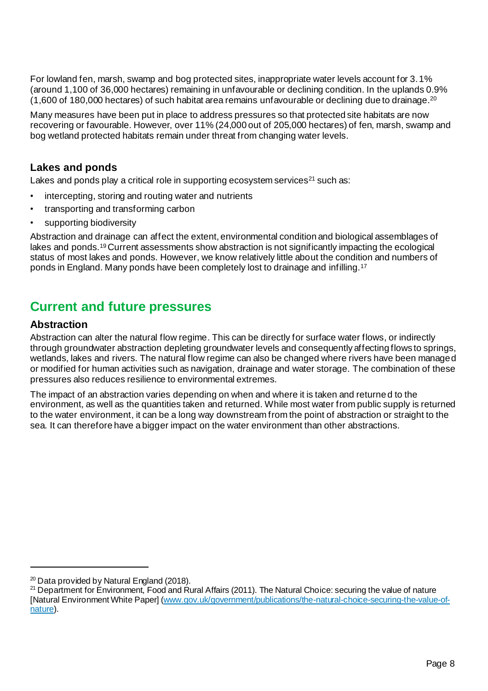For lowland fen, marsh, swamp and bog protected sites, inappropriate water levels account for 3.1% (around 1,100 of 36,000 hectares) remaining in unfavourable or declining condition. In the uplands 0.9% (1,600 of 180,000 hectares) of such habitat area remains unfavourable or declining due to drainage. $^{20}$ 

Many measures have been put in place to address pressures so that protected site habitats are now recovering or favourable. However, over 11% (24,000 out of 205,000 hectares) of fen, marsh, swamp and bog wetland protected habitats remain under threat from changing water levels.

#### **Lakes and ponds**

Lakes and ponds play a critical role in supporting ecosystem services<sup>21</sup> such as:

- intercepting, storing and routing water and nutrients
- transporting and transforming carbon
- supporting biodiversity

Abstraction and drainage can affect the extent, environmental condition and biological assemblages of lakes and ponds.<sup>19</sup> Current assessments show abstraction is not significantly impacting the ecological status of most lakes and ponds. However, we know relatively little about the condition and numbers of ponds in England. Many ponds have been completely lost to drainage and infilling.<sup>17</sup>

### **Current and future pressures**

#### **Abstraction**

Abstraction can alter the natural flow regime. This can be directly for surface water flows, or indirectly through groundwater abstraction depleting groundwater levels and consequently affecting flows to springs, wetlands, lakes and rivers. The natural flow regime can also be changed where rivers have been managed or modified for human activities such as navigation, drainage and water storage. The combination of these pressures also reduces resilience to environmental extremes.

The impact of an abstraction varies depending on when and where it is taken and returned to the environment, as well as the quantities taken and returned. While most water from public supply is returned to the water environment, it can be a long way downstream from the point of abstraction or straight to the sea. It can therefore have a bigger impact on the water environment than other abstractions.

 $20$  Data provided by Natural England (2018).

<sup>&</sup>lt;sup>21</sup> Department for Environment, Food and Rural Affairs (2011). The Natural Choice: securing the value of nature [Natural Environment White Paper] [\(www.gov.uk/government/publications/the-natural-choice-securing-the-value-of](http://www.gov.uk/government/publications/the-natural-choice-securing-the-value-of-nature)[nature\)](http://www.gov.uk/government/publications/the-natural-choice-securing-the-value-of-nature).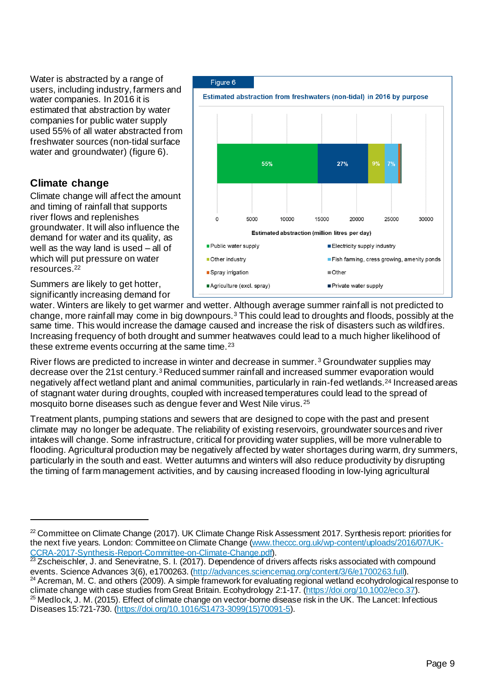Water is abstracted by a range of users, including industry, farmers and water companies. In 2016 it is estimated that abstraction by water companies for public water supply used 55% of all water abstracted from freshwater sources (non-tidal surface water and groundwater) (figure 6).

#### **Climate change**

Climate change will affect the amount and timing of rainfall that supports river flows and replenishes groundwater. It will also influence the demand for water and its quality, as well as the way land is used – all of which will put pressure on water resources. 22

Summers are likely to get hotter, significantly increasing demand for

Figure 6 Estimated abstraction from freshwaters (non-tidal) in 2016 by purpose 55% 27% 5000 10000 15000 20000 25000 30000 **Estimated abstraction (million litres per day)** Public water supply Electricity supply industry Other industry Fish farming, cress growing, amenity ponds Spray irrigation ■ Other Agriculture (excl. spray) Private water supply

water. Winters are likely to get warmer and wetter. Although average summer rainfall is not predicted to change, more rainfall may come in big downpours.<sup>3</sup> This could lead to droughts and floods, possibly at the same time. This would increase the damage caused and increase the risk of disasters such as wildfires. Increasing frequency of both drought and summer heatwaves could lead to a much higher likelihood of these extreme events occurring at the same time.<sup>23</sup>

River flows are predicted to increase in winter and decrease in summer. <sup>3</sup> Groundwater supplies may decrease over the 21st century.<sup>3</sup> Reduced summer rainfall and increased summer evaporation would negatively affect wetland plant and animal communities, particularly in rain-fed wetlands.<sup>24</sup> Increased areas of stagnant water during droughts, coupled with increased temperatures could lead to the spread of mosquito borne diseases such as dengue fever and West Nile virus. <sup>25</sup>

Treatment plants, pumping stations and sewers that are designed to cope with the past and present climate may no longer be adequate. The reliability of existing reservoirs, groundwater sources and river intakes will change. Some infrastructure, critical for providing water supplies, will be more vulnerable to flooding. Agricultural production may be negatively affected by water shortages during warm, dry summers, particularly in the south and east. Wetter autumns and winters will also reduce productivity by disrupting the timing of farm management activities, and by causing increased flooding in low-lying agricultural

<sup>&</sup>lt;sup>22</sup> Committee on Climate Change (2017). UK Climate Change Risk Assessment 2017. Synthesis report: priorities for the next five years. London: Committee on Climate Change [\(www.theccc.org.uk/wp-content/uploads/2016/07/UK-](http://www.theccc.org.uk/wp-content/uploads/2016/07/UK-CCRA-2017-Synthesis-Report-Committee-on-Climate-Change.pdf)[CCRA-2017-Synthesis-Report-Committee-on-Climate-Change.pdf](http://www.theccc.org.uk/wp-content/uploads/2016/07/UK-CCRA-2017-Synthesis-Report-Committee-on-Climate-Change.pdf)).

<sup>&</sup>lt;sup>23</sup> Zscheischler, J. and Seneviratne, S. I. (2017). Dependence of drivers affects risks associated with compound events. Science Advances 3(6), e1700263. [\(http://advances.sciencemag.org/content/3/6/e1700263.full](http://advances.sciencemag.org/content/3/6/e1700263.full)).

<sup>&</sup>lt;sup>24</sup> Acreman, M. C. and others (2009). A simple framework for evaluating regional wetland ecohydrological response to climate change with case studies from Great Britain. Ecohydrology 2:1-17. [\(https://doi.org/10.1002/eco.37](https://doi.org/10.1002/eco.37)).

 $25$  Medlock, J. M. (2015). Effect of climate change on vector-borne disease risk in the UK. The Lancet: Infectious Diseases 15:721-730. [\(https://doi.org/10.1016/S1473-3099\(15\)70091-5](https://doi.org/10.1016/S1473-3099(15)70091-5)).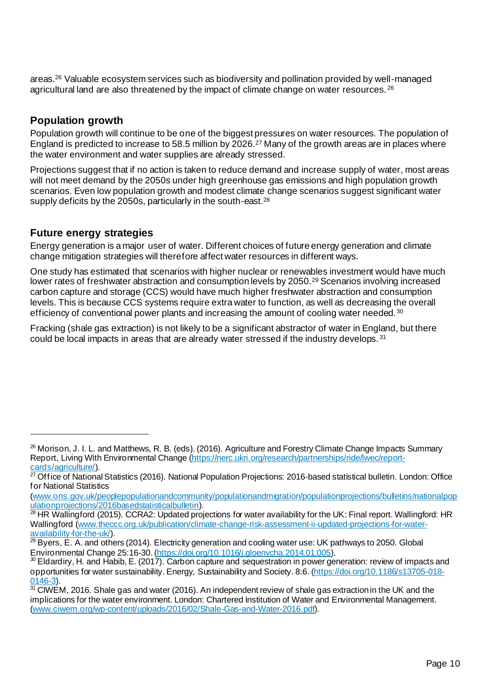areas. <sup>26</sup> Valuable ecosystem services such as biodiversity and pollination provided by well-managed agricultural land are also threatened by the impact of climate change on water resources. <sup>26</sup>

#### **Population growth**

Population growth will continue to be one of the biggest pressures on water resources. The population of England is predicted to increase to 58.5 million by 2026.<sup>27</sup> Many of the growth areas are in places where the water environment and water supplies are already stressed.

Projections suggest that if no action is taken to reduce demand and increase supply of water, most areas will not meet demand by the 2050s under high greenhouse gas emissions and high population growth scenarios. Even low population growth and modest climate change scenarios suggest significant water supply deficits by the 2050s, particularly in the south-east.<sup>28</sup>

#### **Future energy strategies**

Energy generation is a major user of water. Different choices of future energy generation and climate change mitigation strategies will therefore affect water resources in different ways.

One study has estimated that scenarios with higher nuclear or renewables investment would have much lower rates of freshwater abstraction and consumption levels by 2050.<sup>29</sup> Scenarios involving increased carbon capture and storage (CCS) would have much higher freshwater abstraction and consumption levels. This is because CCS systems require extra water to function, as well as decreasing the overall efficiency of conventional power plants and increasing the amount of cooling water needed.<sup>30</sup>

Fracking (shale gas extraction) is not likely to be a significant abstractor of water in England, but there could be local impacts in areas that are already water stressed if the industry develops. <sup>31</sup>

<sup>&</sup>lt;sup>26</sup> Morison, J. I. L. and Matthews, R. B. (eds). (2016). Agriculture and Forestry Climate Change Impacts Summary Report, Living With Environmental Change [\(https://nerc.ukri.org/research/partnerships/ride/lwec/report](https://nerc.ukri.org/research/partnerships/ride/lwec/report-cards/agriculture/)[cards/agriculture/](https://nerc.ukri.org/research/partnerships/ride/lwec/report-cards/agriculture/)).

<sup>&</sup>lt;sup>27</sup> Office of National Statistics (2016). National Population Projections: 2016-based statistical bulletin. London: Office for National Statistics

[<sup>\(</sup>www.ons.gov.uk/peoplepopulationandcommunity/populationandmigration/populationprojections/bulletins/nationalpop](http://www.ons.gov.uk/peoplepopulationandcommunity/populationandmigration/populationprojections/bulletins/nationalpopulationprojections/2016basedstatisticalbulletin) [ulationprojections/2016basedstatisticalbulletin](http://www.ons.gov.uk/peoplepopulationandcommunity/populationandmigration/populationprojections/bulletins/nationalpopulationprojections/2016basedstatisticalbulletin)).

<sup>&</sup>lt;sup>28</sup> HR Wallingford (2015). CCRA2: Updated projections for water availability for the UK: Final report. Wallingford: HR Wallingford [\(www.theccc.org.uk/publication/climate-change-risk-assessment-ii-updated-projections-for-water](http://www.theccc.org.uk/publication/climate-change-risk-assessment-ii-updated-projections-for-water-availability-for-the-uk/)[availability-for-the-uk/](http://www.theccc.org.uk/publication/climate-change-risk-assessment-ii-updated-projections-for-water-availability-for-the-uk/)).

 $29$  Byers, E. A. and others (2014). Electricity generation and cooling water use: UK pathways to 2050. Global Environmental Change 25:16-30. [\(https://doi.org/10.1016/j.gloenvcha.2014.01.005](https://doi.org/10.1016/j.gloenvcha.2014.01.005)).

<sup>30</sup> Eldardiry, H. and Habib, E. (2017). Carbon capture and sequestration in power generation: review of impacts and opportunities for water sustainability. Energy, Sustainability and Society. 8:6. [\(https://doi.org/10.1186/s13705-018-](https://doi.org/10.1186/s13705-018-0146-3) [0146-3\)](https://doi.org/10.1186/s13705-018-0146-3).

 $31$  CIWEM, 2016. Shale gas and water (2016). An independent review of shale gas extraction in the UK and the implications for the water environment. London: Chartered Institution of Water and Environmental Management. [\(www.ciwem.org/wp-content/uploads/2016/02/Shale-Gas-and-Water-2016.pdf](http://www.ciwem.org/wp-content/uploads/2016/02/Shale-Gas-and-Water-2016.pdf)).